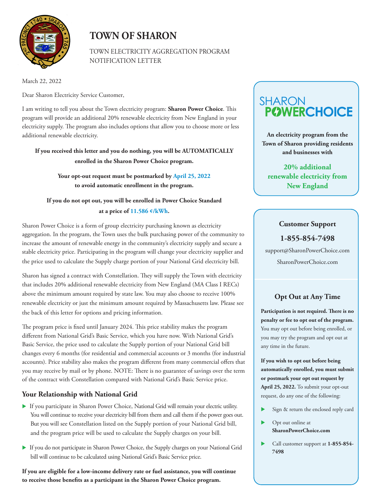

## **TOWN OF SHARON**

TOWN ELECTRICITY AGGREGATION PROGRAM NOTIFICATION LETTER

March 22, 2022

Dear Sharon Electricity Service Customer,

I am writing to tell you about the Town electricity program: **Sharon Power Choice**. This program will provide an additional 20% renewable electricity from New England in your electricity supply. The program also includes options that allow you to choose more or less additional renewable electricity.

**If you received this letter and you do nothing, you will be AUTOMATICALLY enrolled in the Sharon Power Choice program.** 

> **Your opt-out request must be postmarked by April 25, 2022 to avoid automatic enrollment in the program.**

**If you do not opt out, you will be enrolled in Power Choice Standard at a price of 11.586 ¢/kWh.** 

Sharon Power Choice is a form of group electricity purchasing known as electricity aggregation. In the program, the Town uses the bulk purchasing power of the community to increase the amount of renewable energy in the community's electricity supply and secure a stable electricity price. Participating in the program will change your electricity supplier and the price used to calculate the Supply charge portion of your National Grid electricity bill.

Sharon has signed a contract with Constellation. They will supply the Town with electricity that includes 20% additional renewable electricity from New England (MA Class I RECs) above the minimum amount required by state law. You may also choose to receive 100% renewable electricity or just the minimum amount required by Massachusetts law. Please see the back of this letter for options and pricing information.

The program price is fixed until January 2024. This price stability makes the program different from National Grid's Basic Service, which you have now. With National Grid's Basic Service, the price used to calculate the Supply portion of your National Grid bill changes every 6 months (for residential and commercial accounts or 3 months (for industrial accounts). Price stability also makes the program different from many commercial offers that you may receive by mail or by phone. NOTE: There is no guarantee of savings over the term of the contract with Constellation compared with National Grid's Basic Service price.

### **Your Relationship with National Grid**

- If you participate in Sharon Power Choice, National Grid will remain your electric utility. You will continue to receive your electricity bill from them and call them if the power goes out. But you will see Constellation listed on the Supply portion of your National Grid bill, and the program price will be used to calculate the Supply charges on your bill.
- If you do not participate in Sharon Power Choice, the Supply charges on your National Grid bill will continue to be calculated using National Grid's Basic Service price.

**If you are eligible for a low-income delivery rate or fuel assistance, you will continue to receive those benefits as a participant in the Sharon Power Choice program.** 

# **POWERCHOICE SHARON**

**An electricity program from the Town of Sharon providing residents and businesses with** 

**20% additional renewable electricity from New England**

#### **Customer Support**

**1-855-854-7498**

support@SharonPowerChoice.com SharonPowerChoice.com

## **Opt Out at Any Time**

**Participation is not required. There is no penalty or fee to opt out of the program.**  You may opt out before being enrolled, or you may try the program and opt out at any time in the future.

**If you wish to opt out before being automatically enrolled, you must submit or postmark your opt out request by April 25, 2022.** To submit your opt-out request, do any one of the following:

- Sign & return the enclosed reply card
- Opt out online at **SharonPowerChoice.com**
- Call customer support at **1-855-854- 7498**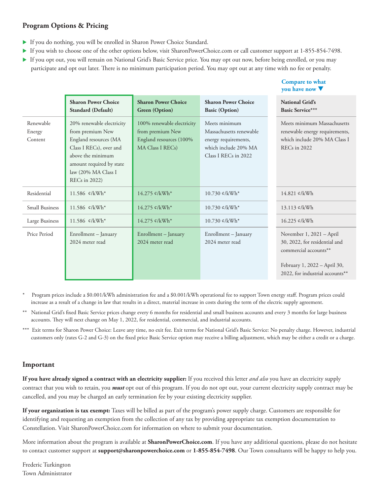#### **Program Options & Pricing**

- If you do nothing, you will be enrolled in Sharon Power Choice Standard.
- If you wish to choose one of the other options below, visit SharonPowerChoice.com or call customer support at 1-855-854-7498.
- If you opt out, you will remain on National Grid's Basic Service price. You may opt out now, before being enrolled, or you may participate and opt out later. There is no minimum participation period. You may opt out at any time with no fee or penalty.

**Compare to what** 

|                                |                                                                                                                                                                                                   |                                                                                               |                                                                                                                  | you have now                                                                                                                                          |
|--------------------------------|---------------------------------------------------------------------------------------------------------------------------------------------------------------------------------------------------|-----------------------------------------------------------------------------------------------|------------------------------------------------------------------------------------------------------------------|-------------------------------------------------------------------------------------------------------------------------------------------------------|
|                                | <b>Sharon Power Choice</b><br>Standard (Default)                                                                                                                                                  | <b>Sharon Power Choice</b><br><b>Green</b> (Option)                                           | <b>Sharon Power Choice</b><br><b>Basic (Option)</b>                                                              | <b>National Grid's</b><br><b>Basic Service***</b>                                                                                                     |
| Renewable<br>Energy<br>Content | 20% renewable electricity<br>from premium New<br>England resources (MA<br>Class I RECs), over and<br>above the minimum<br>amount required by state<br>law (20% MA Class I<br><b>RECs</b> in 2022) | 100% renewable electricity<br>from premium New<br>England resources (100%<br>MA Class I RECs) | Meets minimum<br>Massachusetts renewable<br>energy requirements,<br>which include 20% MA<br>Class I RECs in 2022 | Meets minimum Massachusetts<br>renewable energy requirements,<br>which include 20% MA Class I<br>REC <sub>s</sub> in 2022                             |
| Residential                    | 11.586 ¢/kWh*                                                                                                                                                                                     | 14.275 ¢/kWh*                                                                                 | $10.730 \frac{e}{kWh^*}$                                                                                         | 14.821 ¢/kWh                                                                                                                                          |
| <b>Small Business</b>          | 11.586 $\ell$ /kWh*                                                                                                                                                                               | 14.275 ¢/kWh*                                                                                 | $10.730 \text{ } \frac{\text{C}}{\text{K}} \text{Wh}^*$                                                          | 13.113 ¢/kWh                                                                                                                                          |
| Large Business                 | 11.586 $\ell$ /kWh*                                                                                                                                                                               | 14.275 ¢/kWh*                                                                                 | $10.730~\text{e/kWh}^*$                                                                                          | 16.225 ¢/kWh                                                                                                                                          |
| Price Period                   | Enrollment - January<br>2024 meter read                                                                                                                                                           | Enrollment - January<br>2024 meter read                                                       | Enrollment - January<br>2024 meter read                                                                          | November 1, 2021 - April<br>30, 2022, for residential and<br>commercial accounts**<br>February 1, 2022 - April 30,<br>2022, for industrial accounts** |
|                                |                                                                                                                                                                                                   |                                                                                               |                                                                                                                  |                                                                                                                                                       |

\* Program prices include a \$0.001/kWh administration fee and a \$0.001/kWh operational fee to support Town energy staff. Program prices could increase as a result of a change in law that results in a direct, material increase in costs during the term of the electric supply agreement.

- \*\* National Grid's fixed Basic Service prices change every 6 months for residential and small business accounts and every 3 months for large business accounts. They will next change on May 1, 2022, for residential, commercial, and industrial accounts.
- \*\*\* Exit terms for Sharon Power Choice: Leave any time, no exit fee. Exit terms for National Grid's Basic Service: No penalty charge. However, industrial customers only (rates G-2 and G-3) on the fixed price Basic Service option may receive a billing adjustment, which may be either a credit or a charge.

#### **Important**

**If you have already signed a contract with an electricity supplier:** If you received this letter *and also* you have an electricity supply contract that you wish to retain, you *must* opt out of this program. If you do not opt out, your current electricity supply contract may be cancelled, and you may be charged an early termination fee by your existing electricity supplier.

**If your organization is tax exempt:** Taxes will be billed as part of the program's power supply charge. Customers are responsible for identifying and requesting an exemption from the collection of any tax by providing appropriate tax exemption documentation to Constellation. Visit SharonPowerChoice.com for information on where to submit your documentation.

More information about the program is available at **SharonPowerChoice.com**. If you have any additional questions, please do not hesitate to contact customer support at **support@sharonpowerchoice.com** or **1-855-854-7498**. Our Town consultants will be happy to help you.

Frederic Turkington Town Administrator